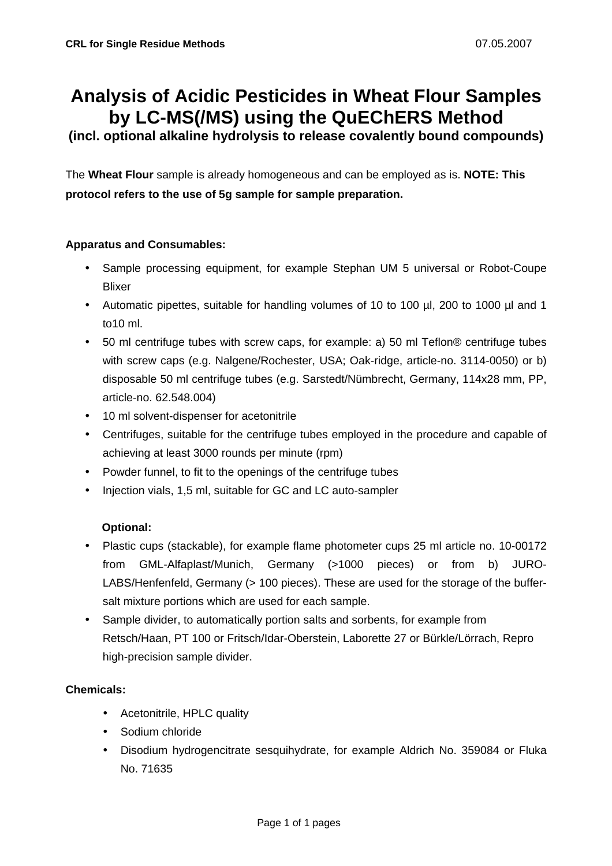# **Analysis of Acidic Pesticides in Wheat Flour Samples by LC-MS(/MS) using the QuEChERS Method**

**(incl. optional alkaline hydrolysis to release covalently bound compounds)**

The **Wheat Flour** sample is already homogeneous and can be employed as is. **NOTE: This protocol refers to the use of 5g sample for sample preparation.**

#### **Apparatus and Consumables:**

- Sample processing equipment, for example Stephan UM 5 universal or Robot-Coupe Blixer
- Automatic pipettes, suitable for handling volumes of 10 to 100 µl, 200 to 1000 µl and 1 to10 ml.
- 50 ml centrifuge tubes with screw caps, for example: a) 50 ml Teflon® centrifuge tubes with screw caps (e.g. Nalgene/Rochester, USA; Oak-ridge, article-no. 3114-0050) or b) disposable 50 ml centrifuge tubes (e.g. Sarstedt/Nümbrecht, Germany, 114x28 mm, PP, article-no. 62.548.004)
- 10 ml solvent-dispenser for acetonitrile
- Centrifuges, suitable for the centrifuge tubes employed in the procedure and capable of achieving at least 3000 rounds per minute (rpm)
- Powder funnel, to fit to the openings of the centrifuge tubes
- Injection vials, 1,5 ml, suitable for GC and LC auto-sampler

#### **Optional:**

- Plastic cups (stackable), for example flame photometer cups 25 ml article no. 10-00172 from GML-Alfaplast/Munich, Germany (>1000 pieces) or from b) JURO-LABS/Henfenfeld, Germany (> 100 pieces). These are used for the storage of the buffersalt mixture portions which are used for each sample.
- Sample divider, to automatically portion salts and sorbents, for example from Retsch/Haan, PT 100 or Fritsch/Idar-Oberstein, Laborette 27 or Bürkle/Lörrach, Repro high-precision sample divider.

#### **Chemicals:**

- Acetonitrile, HPLC quality
- Sodium chloride
- Disodium hydrogencitrate sesquihydrate, for example Aldrich No. 359084 or Fluka No. 71635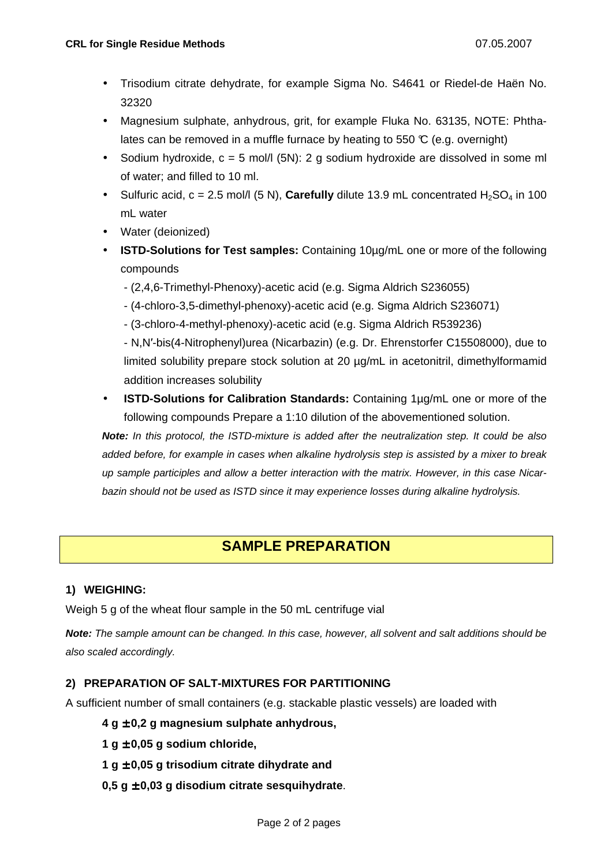- Trisodium citrate dehydrate, for example Sigma No. S4641 or Riedel-de Haën No. 32320
- Magnesium sulphate, anhydrous, grit, for example Fluka No. 63135, NOTE: Phthalates can be removed in a muffle furnace by heating to 550  $\mathbb{C}$  (e.g. overnight)
- Sodium hydroxide,  $c = 5$  mol/l (5N): 2 g sodium hydroxide are dissolved in some ml of water; and filled to 10 ml.
- Sulfuric acid,  $c = 2.5$  mol/l  $(5 \text{ N})$ , **Carefully** dilute 13.9 mL concentrated  $H_2SO_4$  in 100 mL water
- Water (deionized)
- **ISTD-Solutions for Test samples:** Containing 10µg/mL one or more of the following compounds
	- (2,4,6-Trimethyl-Phenoxy)-acetic acid (e.g. Sigma Aldrich S236055)
	- (4-chloro-3,5-dimethyl-phenoxy)-acetic acid (e.g. Sigma Aldrich S236071)
	- (3-chloro-4-methyl-phenoxy)-acetic acid (e.g. Sigma Aldrich R539236)

- N,N′-bis(4-Nitrophenyl)urea (Nicarbazin) (e.g. Dr. Ehrenstorfer C15508000), due to limited solubility prepare stock solution at 20 µg/mL in acetonitril, dimethylformamid addition increases solubility

• **ISTD-Solutions for Calibration Standards:** Containing 1µg/mL one or more of the following compounds Prepare a 1:10 dilution of the abovementioned solution.

**Note:** In this protocol, the ISTD-mixture is added after the neutralization step. It could be also added before, for example in cases when alkaline hydrolysis step is assisted by a mixer to break up sample participles and allow a better interaction with the matrix. However, in this case Nicarbazin should not be used as ISTD since it may experience losses during alkaline hydrolysis.

# **SAMPLE PREPARATION**

#### **1) WEIGHING:**

Weigh 5 g of the wheat flour sample in the 50 mL centrifuge vial

**Note:** The sample amount can be changed. In this case, however, all solvent and salt additions should be also scaled accordingly.

#### **2) PREPARATION OF SALT-MIXTURES FOR PARTITIONING**

A sufficient number of small containers (e.g. stackable plastic vessels) are loaded with

#### **4 g** ± **0,2 g magnesium sulphate anhydrous,**

- **1 g** ± **0,05 g sodium chloride,**
- **1 g** ± **0,05 g trisodium citrate dihydrate and**
- **0,5 g** ± **0,03 g disodium citrate sesquihydrate**.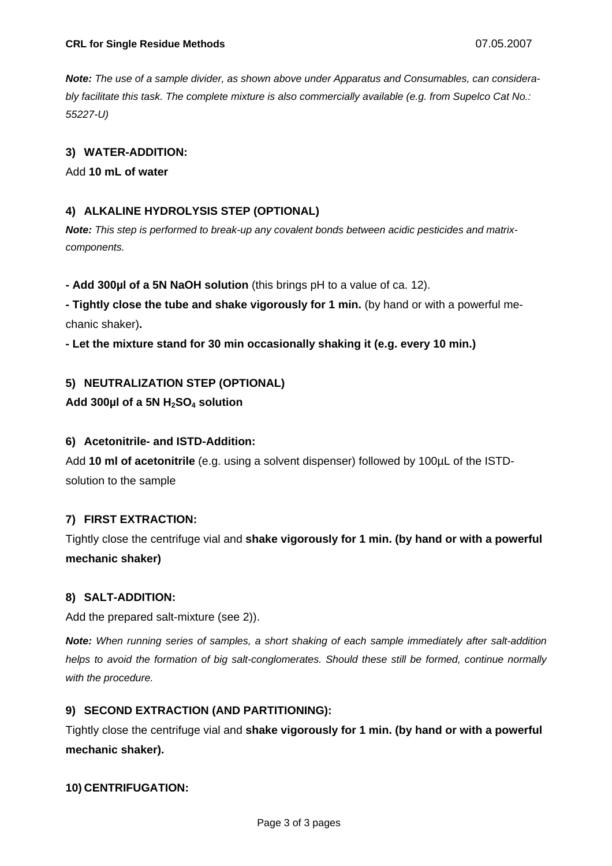**Note:** The use of a sample divider, as shown above under Apparatus and Consumables, can considerably facilitate this task. The complete mixture is also commercially available (e.g. from Supelco Cat No.: 55227-U)

#### **3) WATER-ADDITION:**

Add **10 mL of water**

#### **4) ALKALINE HYDROLYSIS STEP (OPTIONAL)**

**Note:** This step is performed to break-up any covalent bonds between acidic pesticides and matrixcomponents.

**- Add 300µl of a 5N NaOH solution** (this brings pH to a value of ca. 12).

**- Tightly close the tube and shake vigorously for 1 min.** (by hand or with a powerful mechanic shaker)**.** 

**- Let the mixture stand for 30 min occasionally shaking it (e.g. every 10 min.)** 

#### **5) NEUTRALIZATION STEP (OPTIONAL)**

#### **Add 300µl of a 5N H2SO4 solution**

#### **6) Acetonitrile- and ISTD-Addition:**

Add **10 ml of acetonitrile** (e.g. using a solvent dispenser) followed by 100µL of the ISTDsolution to the sample

#### **7) FIRST EXTRACTION:**

Tightly close the centrifuge vial and **shake vigorously for 1 min. (by hand or with a powerful mechanic shaker)** 

#### **8) SALT-ADDITION:**

Add the prepared salt-mixture (see 2)).

**Note:** When running series of samples, a short shaking of each sample immediately after salt-addition helps to avoid the formation of big salt-conglomerates. Should these still be formed, continue normally with the procedure.

#### **9) SECOND EXTRACTION (AND PARTITIONING):**

Tightly close the centrifuge vial and **shake vigorously for 1 min. (by hand or with a powerful mechanic shaker).**

#### **10) CENTRIFUGATION:**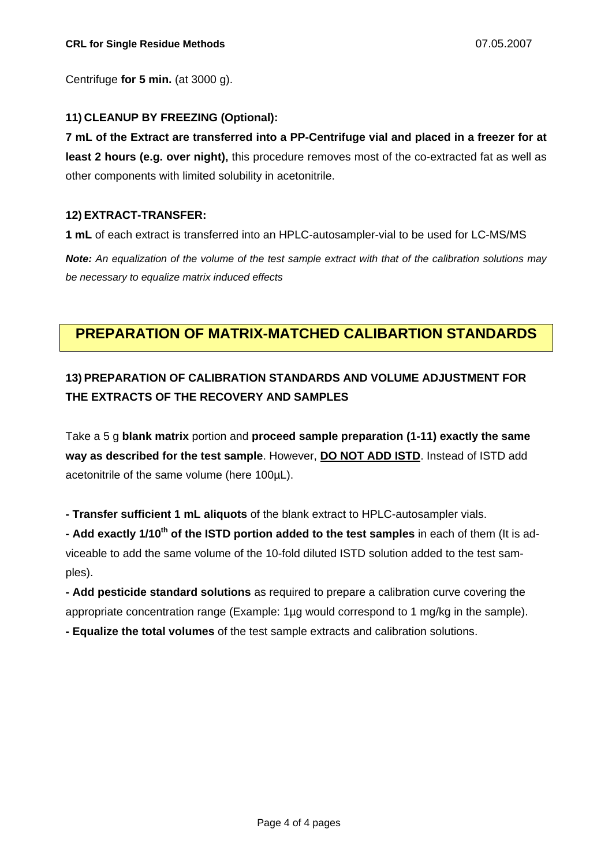Centrifuge **for 5 min.** (at 3000 g).

#### **11) CLEANUP BY FREEZING (Optional):**

**7 mL of the Extract are transferred into a PP-Centrifuge vial and placed in a freezer for at least 2 hours (e.g. over night),** this procedure removes most of the co-extracted fat as well as other components with limited solubility in acetonitrile.

#### **12) EXTRACT-TRANSFER:**

**1 mL** of each extract is transferred into an HPLC-autosampler-vial to be used for LC-MS/MS

**Note:** An equalization of the volume of the test sample extract with that of the calibration solutions may be necessary to equalize matrix induced effects

## **PREPARATION OF MATRIX-MATCHED CALIBARTION STANDARDS**

# **13) PREPARATION OF CALIBRATION STANDARDS AND VOLUME ADJUSTMENT FOR THE EXTRACTS OF THE RECOVERY AND SAMPLES**

Take a 5 g **blank matrix** portion and **proceed sample preparation (1-11) exactly the same way as described for the test sample**. However, **DO NOT ADD ISTD**. Instead of ISTD add acetonitrile of the same volume (here 100µL).

**- Transfer sufficient 1 mL aliquots** of the blank extract to HPLC-autosampler vials.

**- Add exactly 1/10th of the ISTD portion added to the test samples** in each of them (It is adviceable to add the same volume of the 10-fold diluted ISTD solution added to the test samples).

**- Add pesticide standard solutions** as required to prepare a calibration curve covering the appropriate concentration range (Example: 1µg would correspond to 1 mg/kg in the sample).

**- Equalize the total volumes** of the test sample extracts and calibration solutions.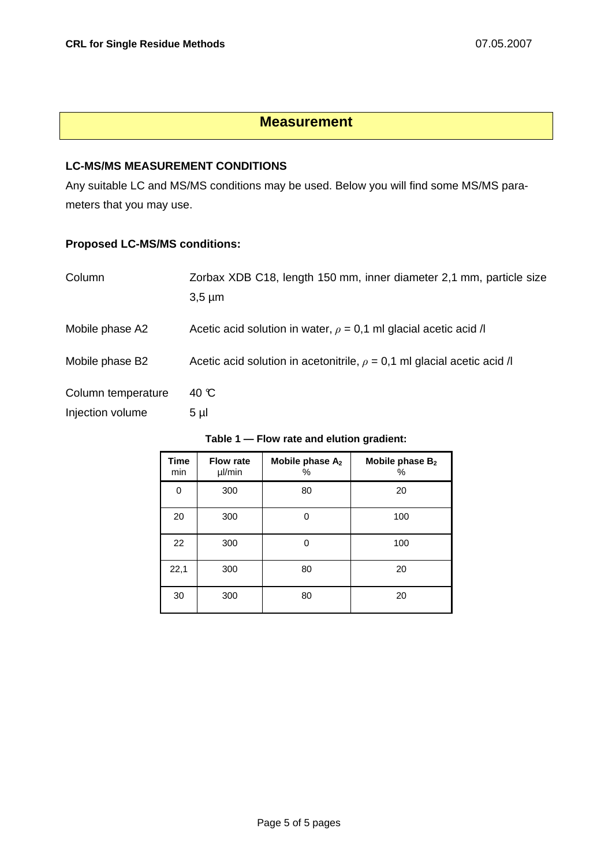## **Measurement**

#### **LC-MS/MS MEASUREMENT CONDITIONS**

Any suitable LC and MS/MS conditions may be used. Below you will find some MS/MS parameters that you may use.

### **Proposed LC-MS/MS conditions:**

| Column             | Zorbax XDB C18, length 150 mm, inner diameter 2,1 mm, particle size<br>$3,5 \mu m$ |
|--------------------|------------------------------------------------------------------------------------|
| Mobile phase A2    | Acetic acid solution in water, $\rho = 0.1$ ml glacial acetic acid /               |
| Mobile phase B2    | Acetic acid solution in acetonitrile, $\rho = 0.1$ ml glacial acetic acid /        |
| Column temperature | 40 °C                                                                              |
| Injection volume   | $5 \mu$                                                                            |

| <b>Time</b><br>min | <b>Flow rate</b><br>µl/min | Mobile phase A <sub>2</sub><br>% | Mobile phase B <sub>2</sub><br>% |
|--------------------|----------------------------|----------------------------------|----------------------------------|
| 0                  | 300                        | 80                               | 20                               |
| 20                 | 300                        |                                  | 100                              |
| 22                 | 300                        |                                  | 100                              |
| 22,1               | 300                        | 80                               | 20                               |
| 30                 | 300                        | 80                               | 20                               |

#### **Table 1 — Flow rate and elution gradient:**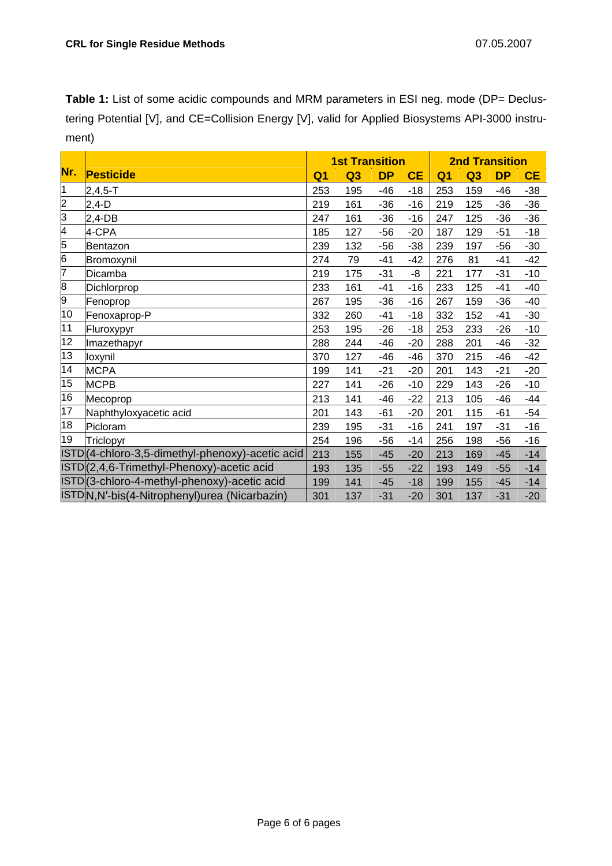Table 1: List of some acidic compounds and MRM parameters in ESI neg. mode (DP= Declustering Potential [V], and CE=Collision Energy [V], valid for Applied Biosystems API-3000 instrument)

|                |                                                  | <b>1st Transition</b> |                |           |           | <b>2nd Transition</b> |                |           |           |
|----------------|--------------------------------------------------|-----------------------|----------------|-----------|-----------|-----------------------|----------------|-----------|-----------|
| Nr.            | Pesticide                                        | Q <sub>1</sub>        | Q <sub>3</sub> | <b>DP</b> | <b>CE</b> | Q <sub>1</sub>        | Q <sub>3</sub> | <b>DP</b> | <b>CE</b> |
| 1              | $2,4,5 - T$                                      | 253                   | 195            | $-46$     | $-18$     | 253                   | 159            | $-46$     | $-38$     |
| $\overline{2}$ | $2,4-D$                                          | 219                   | 161            | -36       | $-16$     | 219                   | 125            | $-36$     | $-36$     |
| $\overline{3}$ | $2,4-DB$                                         | 247                   | 161            | $-36$     | $-16$     | 247                   | 125            | $-36$     | $-36$     |
| 4              | 4-CPA                                            | 185                   | 127            | $-56$     | $-20$     | 187                   | 129            | $-51$     | $-18$     |
| $\overline{5}$ | Bentazon                                         | 239                   | 132            | $-56$     | $-38$     | 239                   | 197            | $-56$     | $-30$     |
| $\overline{6}$ | Bromoxynil                                       | 274                   | 79             | $-41$     | $-42$     | 276                   | 81             | $-41$     | $-42$     |
| 7              | Dicamba                                          | 219                   | 175            | $-31$     | -8        | 221                   | 177            | $-31$     | $-10$     |
| $\overline{8}$ | Dichlorprop                                      | 233                   | 161            | $-41$     | $-16$     | 233                   | 125            | $-41$     | $-40$     |
| $\overline{9}$ | Fenoprop                                         | 267                   | 195            | $-36$     | $-16$     | 267                   | 159            | $-36$     | $-40$     |
| 10             | Fenoxaprop-P                                     | 332                   | 260            | $-41$     | $-18$     | 332                   | 152            | $-41$     | $-30$     |
| 11             | Fluroxypyr                                       | 253                   | 195            | $-26$     | $-18$     | 253                   | 233            | $-26$     | $-10$     |
| 12             | Imazethapyr                                      | 288                   | 244            | $-46$     | $-20$     | 288                   | 201            | $-46$     | $-32$     |
| 13             | loxynil                                          | 370                   | 127            | $-46$     | $-46$     | 370                   | 215            | $-46$     | $-42$     |
| 14             | <b>MCPA</b>                                      | 199                   | 141            | $-21$     | $-20$     | 201                   | 143            | $-21$     | $-20$     |
| 15             | <b>MCPB</b>                                      | 227                   | 141            | $-26$     | $-10$     | 229                   | 143            | $-26$     | $-10$     |
| 16             | Mecoprop                                         | 213                   | 141            | $-46$     | $-22$     | 213                   | 105            | $-46$     | -44       |
| 17             | Naphthyloxyacetic acid                           | 201                   | 143            | $-61$     | $-20$     | 201                   | 115            | $-61$     | $-54$     |
| 18             | Picloram                                         | 239                   | 195            | $-31$     | $-16$     | 241                   | 197            | $-31$     | $-16$     |
| 19             | Triclopyr                                        | 254                   | 196            | $-56$     | $-14$     | 256                   | 198            | $-56$     | $-16$     |
|                | ISTD (4-chloro-3,5-dimethyl-phenoxy)-acetic acid | 213                   | 155            | $-45$     | $-20$     | 213                   | 169            | $-45$     | $-14$     |
|                | ISTD(2,4,6-Trimethyl-Phenoxy)-acetic acid        | 193                   | 135            | $-55$     | $-22$     | 193                   | 149            | $-55$     | $-14$     |
|                | ISTD(3-chloro-4-methyl-phenoxy)-acetic acid      | 199                   | 141            | $-45$     | $-18$     | 199                   | 155            | $-45$     | $-14$     |
|                | ISTDN, N'-bis (4-Nitrophenyl) urea (Nicarbazin)  | 301                   | 137            | $-31$     | $-20$     | 301                   | 137            | $-31$     | $-20$     |